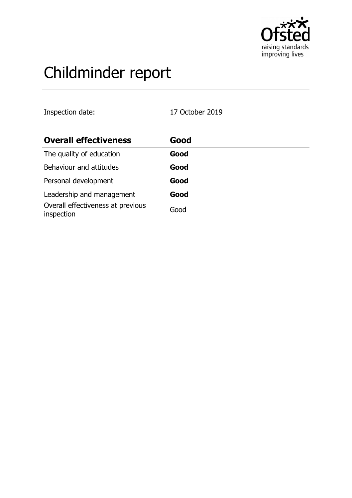

# Childminder report

Inspection date: 17 October 2019

| <b>Overall effectiveness</b>                    | Good |
|-------------------------------------------------|------|
| The quality of education                        | Good |
| Behaviour and attitudes                         | Good |
| Personal development                            | Good |
| Leadership and management                       | Good |
| Overall effectiveness at previous<br>inspection | Good |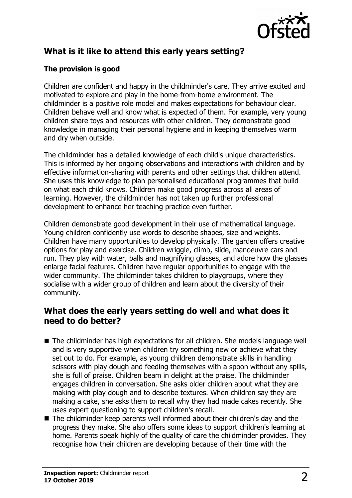

## **What is it like to attend this early years setting?**

### **The provision is good**

Children are confident and happy in the childminder's care. They arrive excited and motivated to explore and play in the home-from-home environment. The childminder is a positive role model and makes expectations for behaviour clear. Children behave well and know what is expected of them. For example, very young children share toys and resources with other children. They demonstrate good knowledge in managing their personal hygiene and in keeping themselves warm and dry when outside.

The childminder has a detailed knowledge of each child's unique characteristics. This is informed by her ongoing observations and interactions with children and by effective information-sharing with parents and other settings that children attend. She uses this knowledge to plan personalised educational programmes that build on what each child knows. Children make good progress across all areas of learning. However, the childminder has not taken up further professional development to enhance her teaching practice even further.

Children demonstrate good development in their use of mathematical language. Young children confidently use words to describe shapes, size and weights. Children have many opportunities to develop physically. The garden offers creative options for play and exercise. Children wriggle, climb, slide, manoeuvre cars and run. They play with water, balls and magnifying glasses, and adore how the glasses enlarge facial features. Children have regular opportunities to engage with the wider community. The childminder takes children to playgroups, where they socialise with a wider group of children and learn about the diversity of their community.

## **What does the early years setting do well and what does it need to do better?**

- $\blacksquare$  The childminder has high expectations for all children. She models language well and is very supportive when children try something new or achieve what they set out to do. For example, as young children demonstrate skills in handling scissors with play dough and feeding themselves with a spoon without any spills, she is full of praise. Children beam in delight at the praise. The childminder engages children in conversation. She asks older children about what they are making with play dough and to describe textures. When children say they are making a cake, she asks them to recall why they had made cakes recently. She uses expert questioning to support children's recall.
- $\blacksquare$  The childminder keep parents well informed about their children's day and the progress they make. She also offers some ideas to support children's learning at home. Parents speak highly of the quality of care the childminder provides. They recognise how their children are developing because of their time with the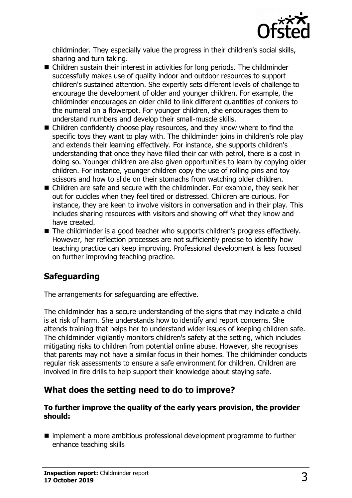

childminder. They especially value the progress in their children's social skills, sharing and turn taking.

- $\blacksquare$  Children sustain their interest in activities for long periods. The childminder successfully makes use of quality indoor and outdoor resources to support children's sustained attention. She expertly sets different levels of challenge to encourage the development of older and younger children. For example, the childminder encourages an older child to link different quantities of conkers to the numeral on a flowerpot. For younger children, she encourages them to understand numbers and develop their small-muscle skills.
- $\blacksquare$  Children confidently choose play resources, and they know where to find the specific toys they want to play with. The childminder joins in children's role play and extends their learning effectively. For instance, she supports children's understanding that once they have filled their car with petrol, there is a cost in doing so. Younger children are also given opportunities to learn by copying older children. For instance, younger children copy the use of rolling pins and toy scissors and how to slide on their stomachs from watching older children.
- Children are safe and secure with the childminder. For example, they seek her out for cuddles when they feel tired or distressed. Children are curious. For instance, they are keen to involve visitors in conversation and in their play. This includes sharing resources with visitors and showing off what they know and have created.
- $\blacksquare$  The childminder is a good teacher who supports children's progress effectively. However, her reflection processes are not sufficiently precise to identify how teaching practice can keep improving. Professional development is less focused on further improving teaching practice.

## **Safeguarding**

The arrangements for safeguarding are effective.

The childminder has a secure understanding of the signs that may indicate a child is at risk of harm. She understands how to identify and report concerns. She attends training that helps her to understand wider issues of keeping children safe. The childminder vigilantly monitors children's safety at the setting, which includes mitigating risks to children from potential online abuse. However, she recognises that parents may not have a similar focus in their homes. The childminder conducts regular risk assessments to ensure a safe environment for children. Children are involved in fire drills to help support their knowledge about staying safe.

## **What does the setting need to do to improve?**

#### **To further improve the quality of the early years provision, the provider should:**

 $\blacksquare$  implement a more ambitious professional development programme to further enhance teaching skills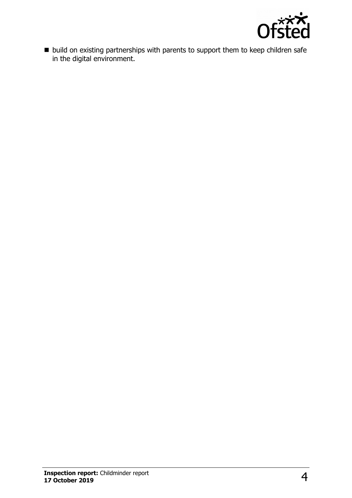

 $\blacksquare$  build on existing partnerships with parents to support them to keep children safe in the digital environment.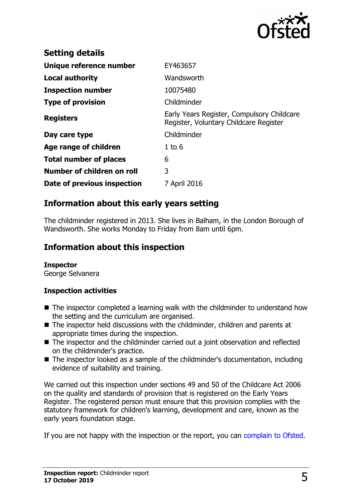

| <b>Setting details</b>        |                                                                                      |
|-------------------------------|--------------------------------------------------------------------------------------|
| Unique reference number       | EY463657                                                                             |
| <b>Local authority</b>        | Wandsworth                                                                           |
| <b>Inspection number</b>      | 10075480                                                                             |
| <b>Type of provision</b>      | Childminder                                                                          |
| <b>Registers</b>              | Early Years Register, Compulsory Childcare<br>Register, Voluntary Childcare Register |
| Day care type                 | Childminder                                                                          |
| Age range of children         | $1$ to 6                                                                             |
| <b>Total number of places</b> | 6                                                                                    |
| Number of children on roll    | 3                                                                                    |
| Date of previous inspection   | 7 April 2016                                                                         |

## **Information about this early years setting**

The childminder registered in 2013. She lives in Balham, in the London Borough of Wandsworth. She works Monday to Friday from 8am until 6pm.

## **Information about this inspection**

#### **Inspector** George Selvanera

#### **Inspection activities**

- $\blacksquare$  The inspector completed a learning walk with the childminder to understand how the setting and the curriculum are organised.
- $\blacksquare$  The inspector held discussions with the childminder, children and parents at appropriate times during the inspection.
- $\blacksquare$  The inspector and the childminder carried out a joint observation and reflected on the childminder's practice.
- $\blacksquare$  The inspector looked as a sample of the childminder's documentation, including evidence of suitability and training.

We carried out this inspection under sections 49 and 50 of the Childcare Act 2006 on the quality and standards of provision that is registered on the Early Years Register. The registered person must ensure that this provision complies with the statutory framework for children's learning, development and care, known as the early years foundation stage.

If you are not happy with the inspection or the report, you can [complain to Ofsted.](http://www.gov.uk/complain-ofsted-report)